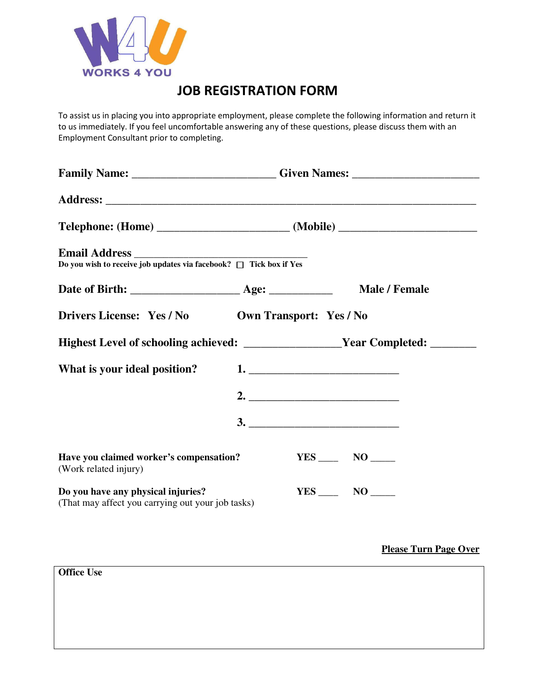

## JOB REGISTRATION FORM

To assist us in placing you into appropriate employment, please complete the following information and return it to us immediately. If you feel uncomfortable answering any of these questions, please discuss them with an Employment Consultant prior to completing.

| Family Name: ___________________________Given Names: ___________________________                                                                               |  |                                |                      |  |
|----------------------------------------------------------------------------------------------------------------------------------------------------------------|--|--------------------------------|----------------------|--|
|                                                                                                                                                                |  |                                |                      |  |
|                                                                                                                                                                |  |                                |                      |  |
| $\begin{tabular}{l} \bf{Email Address} \\ \hline \bf{Do you wish to receive job updates via facebook? } \quad \Box \quad \text{Tick box if Yes} \end{tabular}$ |  |                                |                      |  |
|                                                                                                                                                                |  |                                | <b>Male / Female</b> |  |
| <b>Drivers License: Yes / No</b>                                                                                                                               |  | <b>Own Transport: Yes / No</b> |                      |  |
| Highest Level of schooling achieved: _____________________Year Completed: _______                                                                              |  |                                |                      |  |
| What is your ideal position?                                                                                                                                   |  |                                |                      |  |
|                                                                                                                                                                |  | 2. $\qquad \qquad$             |                      |  |
|                                                                                                                                                                |  |                                |                      |  |
| Have you claimed worker's compensation?<br>(Work related injury)                                                                                               |  |                                | $YES$ NO _______     |  |
| Do you have any physical injuries?<br>(That may affect you carrying out your job tasks)                                                                        |  |                                |                      |  |

**Please Turn Page Over**

**Office Use**